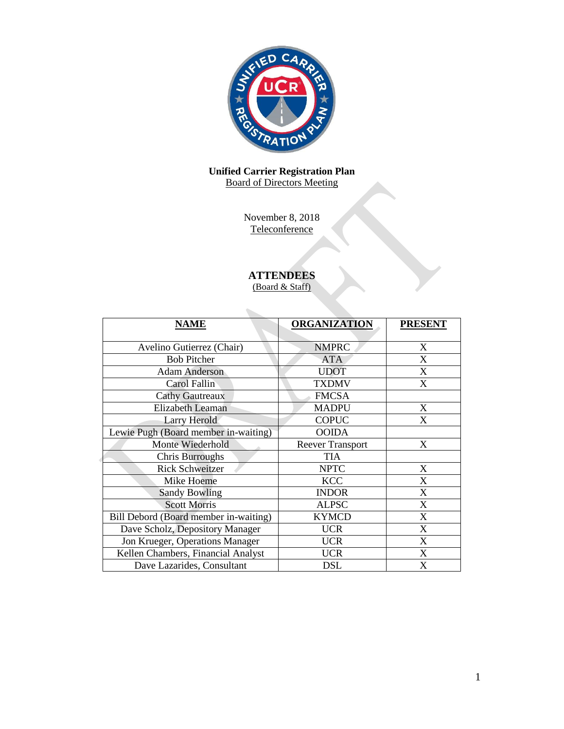

# **Unified Carrier Registration Plan** Board of Directors Meeting

November 8, 2018 **Teleconference** 

# **ATTENDEES**

(Board & Staff)

| <b>NAME</b>                           | <b>ORGANIZATION</b>     | <b>PRESENT</b>            |
|---------------------------------------|-------------------------|---------------------------|
|                                       |                         |                           |
| Avelino Gutierrez (Chair)             | <b>NMPRC</b>            | X                         |
| <b>Bob Pitcher</b>                    | <b>ATA</b>              | X                         |
| <b>Adam Anderson</b>                  | <b>UDOT</b>             | X                         |
| Carol Fallin                          | <b>TXDMV</b>            | X                         |
| <b>Cathy Gautreaux</b>                | <b>FMCSA</b>            |                           |
| <b>Elizabeth Leaman</b>               | <b>MADPU</b>            | X                         |
| Larry Herold                          | <b>COPUC</b>            | X                         |
| Lewie Pugh (Board member in-waiting)  | <b>OOIDA</b>            |                           |
| Monte Wiederhold                      | <b>Reever Transport</b> | X                         |
| Chris Burroughs                       | <b>TIA</b>              |                           |
| <b>Rick Schweitzer</b>                | <b>NPTC</b>             | X                         |
| Mike Hoeme                            | <b>KCC</b>              | X                         |
| <b>Sandy Bowling</b>                  | <b>INDOR</b>            | X                         |
| <b>Scott Morris</b>                   | <b>ALPSC</b>            | X                         |
| Bill Debord (Board member in-waiting) | <b>KYMCD</b>            | X                         |
| Dave Scholz, Depository Manager       | <b>UCR</b>              | X                         |
| Jon Krueger, Operations Manager       | <b>UCR</b>              | X                         |
| Kellen Chambers, Financial Analyst    | <b>UCR</b>              | $\boldsymbol{\mathrm{X}}$ |
| Dave Lazarides, Consultant            | DSL                     | X                         |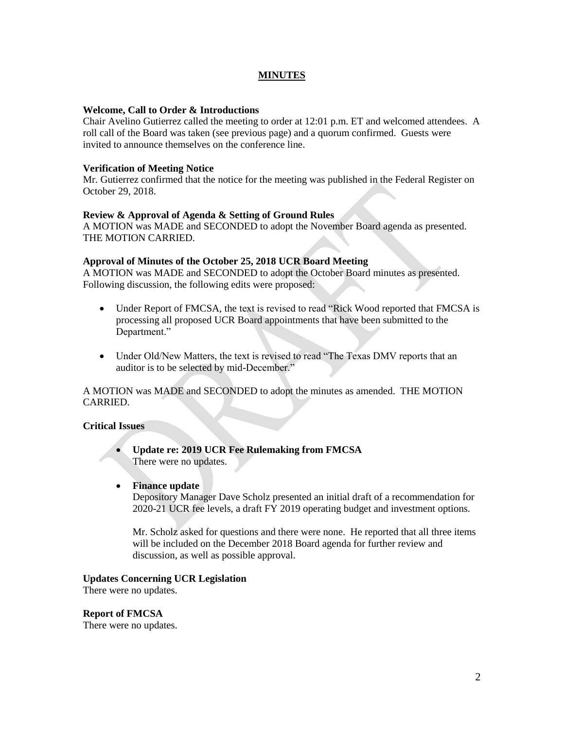# **MINUTES**

# **Welcome, Call to Order & Introductions**

Chair Avelino Gutierrez called the meeting to order at 12:01 p.m. ET and welcomed attendees. A roll call of the Board was taken (see previous page) and a quorum confirmed. Guests were invited to announce themselves on the conference line.

# **Verification of Meeting Notice**

Mr. Gutierrez confirmed that the notice for the meeting was published in the Federal Register on October 29, 2018.

# **Review & Approval of Agenda & Setting of Ground Rules**

A MOTION was MADE and SECONDED to adopt the November Board agenda as presented. THE MOTION CARRIED.

# **Approval of Minutes of the October 25, 2018 UCR Board Meeting**

A MOTION was MADE and SECONDED to adopt the October Board minutes as presented. Following discussion, the following edits were proposed:

- Under Report of FMCSA, the text is revised to read "Rick Wood reported that FMCSA is processing all proposed UCR Board appointments that have been submitted to the Department."
- Under Old/New Matters, the text is revised to read "The Texas DMV reports that an auditor is to be selected by mid-December."

A MOTION was MADE and SECONDED to adopt the minutes as amended. THE MOTION CARRIED.

# **Critical Issues**

 **Update re: 2019 UCR Fee Rulemaking from FMCSA**  There were no updates.

# **Finance update**

Depository Manager Dave Scholz presented an initial draft of a recommendation for 2020-21 UCR fee levels, a draft FY 2019 operating budget and investment options.

Mr. Scholz asked for questions and there were none. He reported that all three items will be included on the December 2018 Board agenda for further review and discussion, as well as possible approval.

#### **Updates Concerning UCR Legislation**

There were no updates.

#### **Report of FMCSA**

There were no updates.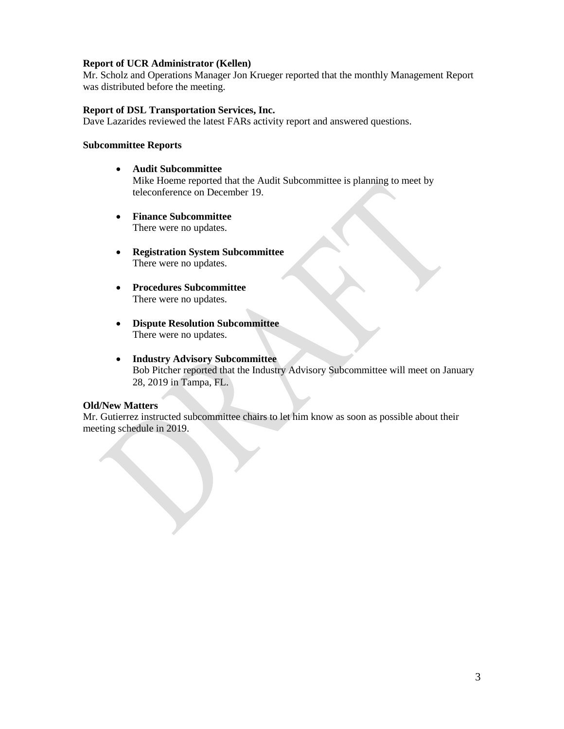# **Report of UCR Administrator (Kellen)**

Mr. Scholz and Operations Manager Jon Krueger reported that the monthly Management Report was distributed before the meeting.

# **Report of DSL Transportation Services, Inc.**

Dave Lazarides reviewed the latest FARs activity report and answered questions.

# **Subcommittee Reports**

- **Audit Subcommittee** Mike Hoeme reported that the Audit Subcommittee is planning to meet by teleconference on December 19.
- **Finance Subcommittee**  There were no updates.
- **Registration System Subcommittee** There were no updates.
- **Procedures Subcommittee**  There were no updates.
- **Dispute Resolution Subcommittee** There were no updates.
- **Industry Advisory Subcommittee**  Bob Pitcher reported that the Industry Advisory Subcommittee will meet on January 28, 2019 in Tampa, FL.

# **Old/New Matters**

Mr. Gutierrez instructed subcommittee chairs to let him know as soon as possible about their meeting schedule in 2019.